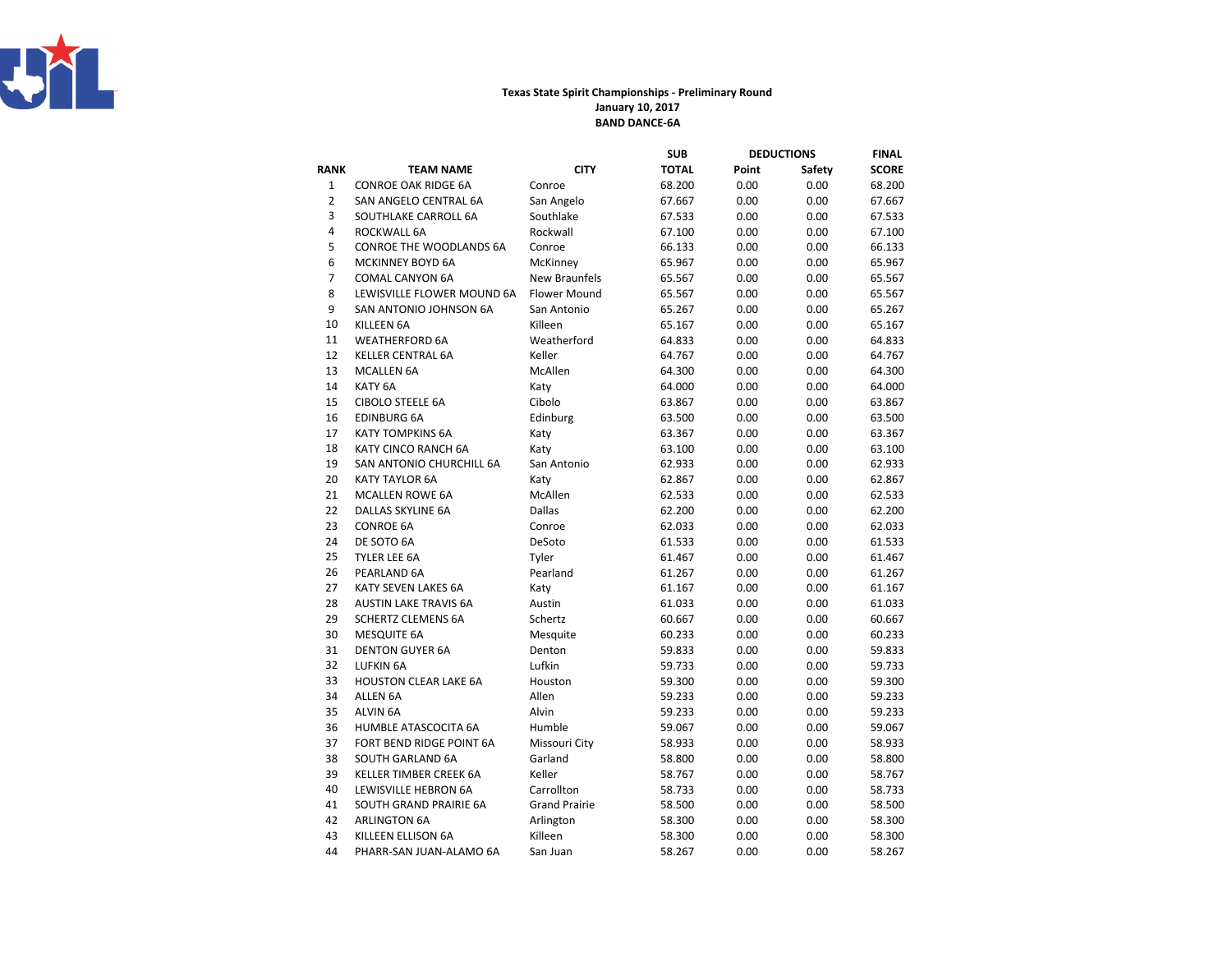

## Texas State Spirit Championships - Preliminary RoundJanuary 10, 2017BAND DANCE-6A

|                  |                              |                      | SUB          |       | <b>DEDUCTIONS</b> | FINAL        |
|------------------|------------------------------|----------------------|--------------|-------|-------------------|--------------|
| <b>RANK</b>      | <b>TEAM NAME</b>             | <b>CITY</b>          | <b>TOTAL</b> | Point | Safety            | <b>SCORE</b> |
| $\mathbf{1}$     | <b>CONROE OAK RIDGE 6A</b>   | Conroe               | 68.200       | 0.00  | 0.00              | 68.200       |
| $\overline{2}$   | SAN ANGELO CENTRAL 6A        | San Angelo           | 67.667       | 0.00  | 0.00              | 67.667       |
| 3                | SOUTHLAKE CARROLL 6A         | Southlake            | 67.533       | 0.00  | 0.00              | 67.533       |
| 4                | ROCKWALL 6A                  | Rockwall             | 67.100       | 0.00  | 0.00              | 67.100       |
| 5                | CONROE THE WOODLANDS 6A      | Conroe               | 66.133       | 0.00  | 0.00              | 66.133       |
| $\boldsymbol{6}$ | <b>MCKINNEY BOYD 6A</b>      | McKinney             | 65.967       | 0.00  | 0.00              | 65.967       |
| $\overline{7}$   | <b>COMAL CANYON 6A</b>       | <b>New Braunfels</b> | 65.567       | 0.00  | 0.00              | 65.567       |
| 8                | LEWISVILLE FLOWER MOUND 6A   | <b>Flower Mound</b>  | 65.567       | 0.00  | 0.00              | 65.567       |
| 9                | SAN ANTONIO JOHNSON 6A       | San Antonio          | 65.267       | 0.00  | 0.00              | 65.267       |
| 10               | KILLEEN 6A                   | Killeen              | 65.167       | 0.00  | 0.00              | 65.167       |
| 11               | <b>WEATHERFORD 6A</b>        | Weatherford          | 64.833       | 0.00  | 0.00              | 64.833       |
| 12               | <b>KELLER CENTRAL 6A</b>     | Keller               | 64.767       | 0.00  | 0.00              | 64.767       |
| 13               | <b>MCALLEN 6A</b>            | McAllen              | 64.300       | 0.00  | 0.00              | 64.300       |
| 14               | KATY <sub>6A</sub>           | Katy                 | 64.000       | 0.00  | 0.00              | 64.000       |
| 15               | <b>CIBOLO STEELE 6A</b>      | Cibolo               | 63.867       | 0.00  | 0.00              | 63.867       |
| 16               | <b>EDINBURG 6A</b>           | Edinburg             | 63.500       | 0.00  | 0.00              | 63.500       |
| 17               | <b>KATY TOMPKINS 6A</b>      | Katy                 | 63.367       | 0.00  | 0.00              | 63.367       |
| 18               | KATY CINCO RANCH 6A          | Katy                 | 63.100       | 0.00  | 0.00              | 63.100       |
| 19               | SAN ANTONIO CHURCHILL 6A     | San Antonio          | 62.933       | 0.00  | 0.00              | 62.933       |
| 20               | <b>KATY TAYLOR 6A</b>        | Katy                 | 62.867       | 0.00  | 0.00              | 62.867       |
| 21               | <b>MCALLEN ROWE 6A</b>       | McAllen              | 62.533       | 0.00  | 0.00              | 62.533       |
| 22               | <b>DALLAS SKYLINE 6A</b>     | <b>Dallas</b>        | 62.200       | 0.00  | 0.00              | 62.200       |
| 23               | <b>CONROE 6A</b>             | Conroe               | 62.033       | 0.00  | 0.00              | 62.033       |
| 24               | DE SOTO 6A                   | DeSoto               | 61.533       | 0.00  | 0.00              | 61.533       |
| 25               | TYLER LEE 6A                 | Tyler                | 61.467       | 0.00  | 0.00              | 61.467       |
| 26               | PEARLAND 6A                  | Pearland             | 61.267       | 0.00  | 0.00              | 61.267       |
| 27               | KATY SEVEN LAKES 6A          | Katy                 | 61.167       | 0.00  | 0.00              | 61.167       |
| 28               | <b>AUSTIN LAKE TRAVIS 6A</b> | Austin               | 61.033       | 0.00  | 0.00              | 61.033       |
| 29               | <b>SCHERTZ CLEMENS 6A</b>    | Schertz              | 60.667       | 0.00  | 0.00              | 60.667       |
| 30               | <b>MESQUITE 6A</b>           | Mesquite             | 60.233       | 0.00  | 0.00              | 60.233       |
| 31               | <b>DENTON GUYER 6A</b>       | Denton               | 59.833       | 0.00  | 0.00              | 59.833       |
| 32               | <b>LUFKIN 6A</b>             | Lufkin               | 59.733       | 0.00  | 0.00              | 59.733       |
| 33               | <b>HOUSTON CLEAR LAKE 6A</b> | Houston              | 59.300       | 0.00  | 0.00              | 59.300       |
| 34               | <b>ALLEN 6A</b>              | Allen                | 59.233       | 0.00  | 0.00              | 59.233       |
| 35               | <b>ALVIN 6A</b>              | Alvin                | 59.233       | 0.00  | 0.00              | 59.233       |
| 36               | HUMBLE ATASCOCITA 6A         | Humble               | 59.067       | 0.00  | 0.00              | 59.067       |
| 37               | FORT BEND RIDGE POINT 6A     | Missouri City        | 58.933       | 0.00  | 0.00              | 58.933       |
| 38               | SOUTH GARLAND 6A             | Garland              | 58.800       | 0.00  | 0.00              | 58.800       |
| 39               | KELLER TIMBER CREEK 6A       | Keller               | 58.767       | 0.00  | 0.00              | 58.767       |
| 40               | LEWISVILLE HEBRON 6A         | Carrollton           | 58.733       | 0.00  | 0.00              | 58.733       |
| 41               | SOUTH GRAND PRAIRIE 6A       | <b>Grand Prairie</b> | 58.500       | 0.00  | 0.00              | 58.500       |
| 42               | <b>ARLINGTON 6A</b>          | Arlington            | 58.300       | 0.00  | 0.00              | 58.300       |
| 43               | KILLEEN ELLISON 6A           | Killeen              | 58.300       | 0.00  | 0.00              | 58.300       |
| 44               | PHARR-SAN JUAN-ALAMO 6A      | San Juan             | 58.267       | 0.00  | 0.00              | 58.267       |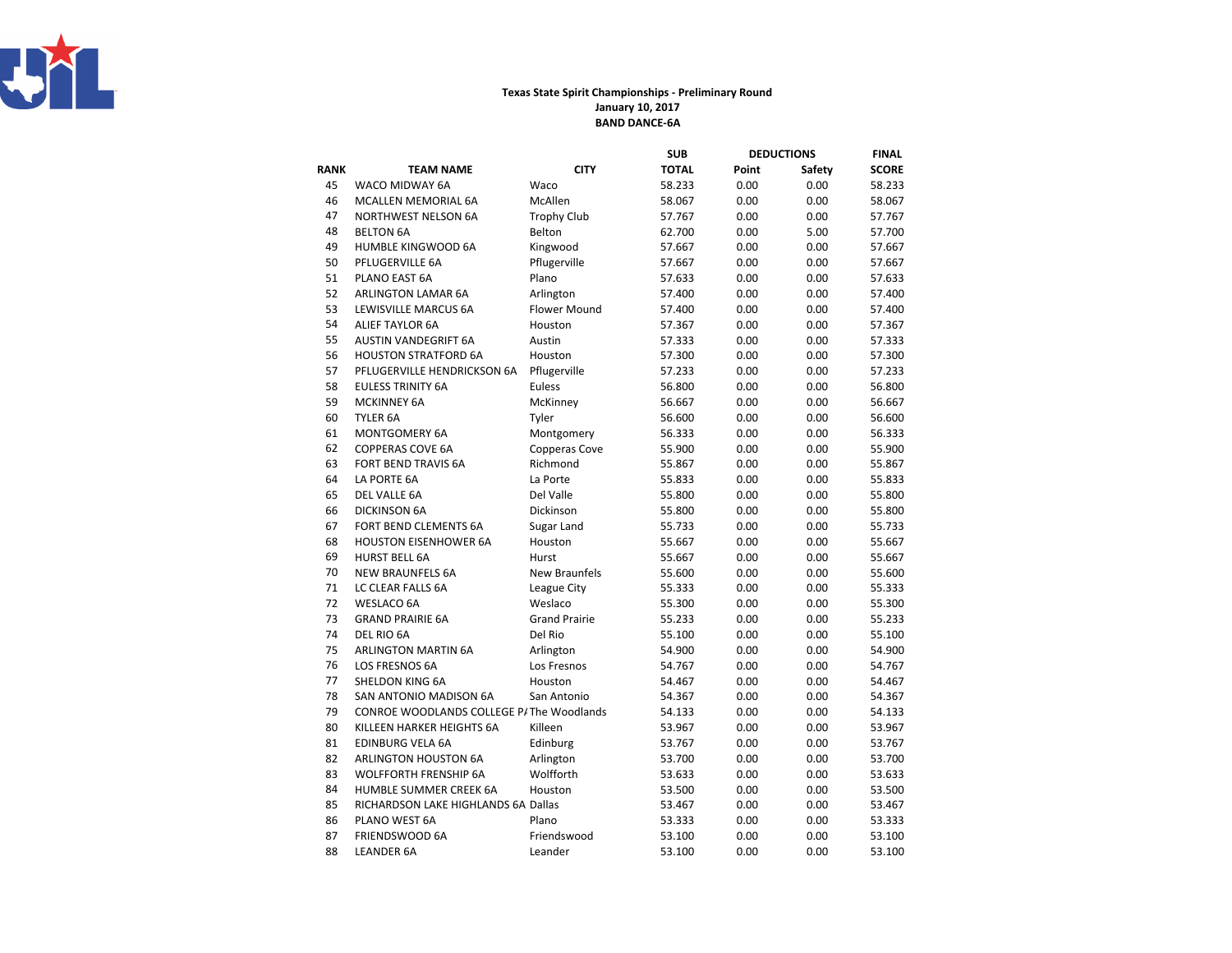

## Texas State Spirit Championships - Preliminary RoundJanuary 10, 2017BAND DANCE-6A

|      |                                           |                      | SUB    | <b>DEDUCTIONS</b> |        | FINAL        |
|------|-------------------------------------------|----------------------|--------|-------------------|--------|--------------|
| RANK | <b>TEAM NAME</b>                          | <b>CITY</b>          | TOTAL  | Point             | Safety | <b>SCORE</b> |
| 45   | WACO MIDWAY 6A                            | Waco                 | 58.233 | 0.00              | 0.00   | 58.233       |
| 46   | <b>MCALLEN MEMORIAL 6A</b>                | McAllen              | 58.067 | 0.00              | 0.00   | 58.067       |
| 47   | <b>NORTHWEST NELSON 6A</b>                | <b>Trophy Club</b>   | 57.767 | 0.00              | 0.00   | 57.767       |
| 48   | <b>BELTON 6A</b>                          | Belton               | 62.700 | 0.00              | 5.00   | 57.700       |
| 49   | HUMBLE KINGWOOD 6A                        | Kingwood             | 57.667 | 0.00              | 0.00   | 57.667       |
| 50   | PFLUGERVILLE 6A                           | Pflugerville         | 57.667 | 0.00              | 0.00   | 57.667       |
| 51   | PLANO EAST 6A                             | Plano                | 57.633 | 0.00              | 0.00   | 57.633       |
| 52   | <b>ARLINGTON LAMAR 6A</b>                 | Arlington            | 57.400 | 0.00              | 0.00   | 57.400       |
| 53   | LEWISVILLE MARCUS 6A                      | <b>Flower Mound</b>  | 57.400 | 0.00              | 0.00   | 57.400       |
| 54   | <b>ALIEF TAYLOR 6A</b>                    | Houston              | 57.367 | 0.00              | 0.00   | 57.367       |
| 55   | <b>AUSTIN VANDEGRIFT 6A</b>               | Austin               | 57.333 | 0.00              | 0.00   | 57.333       |
| 56   | <b>HOUSTON STRATFORD 6A</b>               | Houston              | 57.300 | 0.00              | 0.00   | 57.300       |
| 57   | PFLUGERVILLE HENDRICKSON 6A               | Pflugerville         | 57.233 | 0.00              | 0.00   | 57.233       |
| 58   | <b>EULESS TRINITY 6A</b>                  | Euless               | 56.800 | 0.00              | 0.00   | 56.800       |
| 59   | <b>MCKINNEY 6A</b>                        | McKinney             | 56.667 | 0.00              | 0.00   | 56.667       |
| 60   | TYLER 6A                                  | Tyler                | 56.600 | 0.00              | 0.00   | 56.600       |
| 61   | <b>MONTGOMERY 6A</b>                      | Montgomery           | 56.333 | 0.00              | 0.00   | 56.333       |
| 62   | <b>COPPERAS COVE 6A</b>                   | Copperas Cove        | 55.900 | 0.00              | 0.00   | 55.900       |
| 63   | <b>FORT BEND TRAVIS 6A</b>                | Richmond             | 55.867 | 0.00              | 0.00   | 55.867       |
| 64   | LA PORTE 6A                               | La Porte             | 55.833 | 0.00              | 0.00   | 55.833       |
| 65   | DEL VALLE 6A                              | Del Valle            | 55.800 | 0.00              | 0.00   | 55.800       |
| 66   | <b>DICKINSON 6A</b>                       | Dickinson            | 55.800 | 0.00              | 0.00   | 55.800       |
| 67   | FORT BEND CLEMENTS 6A                     | Sugar Land           | 55.733 | 0.00              | 0.00   | 55.733       |
| 68   | <b>HOUSTON EISENHOWER 6A</b>              | Houston              | 55.667 | 0.00              | 0.00   | 55.667       |
| 69   | <b>HURST BELL 6A</b>                      | Hurst                | 55.667 | 0.00              | 0.00   | 55.667       |
| 70   | <b>NEW BRAUNFELS 6A</b>                   | <b>New Braunfels</b> | 55.600 | 0.00              | 0.00   | 55.600       |
| 71   | LC CLEAR FALLS 6A                         | League City          | 55.333 | 0.00              | 0.00   | 55.333       |
| 72   | <b>WESLACO 6A</b>                         | Weslaco              | 55.300 | 0.00              | 0.00   | 55.300       |
| 73   | <b>GRAND PRAIRIE 6A</b>                   | <b>Grand Prairie</b> | 55.233 | 0.00              | 0.00   | 55.233       |
| 74   | DEL RIO 6A                                | Del Rio              | 55.100 | 0.00              | 0.00   | 55.100       |
| 75   | ARLINGTON MARTIN 6A                       | Arlington            | 54.900 | 0.00              | 0.00   | 54.900       |
| 76   | LOS FRESNOS 6A                            | Los Fresnos          | 54.767 | 0.00              | 0.00   | 54.767       |
| 77   | SHELDON KING 6A                           | Houston              | 54.467 | 0.00              | 0.00   | 54.467       |
| 78   | SAN ANTONIO MADISON 6A                    | San Antonio          | 54.367 | 0.00              | 0.00   | 54.367       |
| 79   | CONROE WOODLANDS COLLEGE P/ The Woodlands |                      | 54.133 | 0.00              | 0.00   | 54.133       |
| 80   | KILLEEN HARKER HEIGHTS 6A                 | Killeen              | 53.967 | 0.00              | 0.00   | 53.967       |
| 81   | <b>EDINBURG VELA 6A</b>                   | Edinburg             | 53.767 | 0.00              | 0.00   | 53.767       |
| 82   | ARLINGTON HOUSTON 6A                      | Arlington            | 53.700 | 0.00              | 0.00   | 53.700       |
| 83   | <b>WOLFFORTH FRENSHIP 6A</b>              | Wolfforth            | 53.633 | 0.00              | 0.00   | 53.633       |
| 84   | HUMBLE SUMMER CREEK 6A                    | Houston              | 53.500 | 0.00              | 0.00   | 53.500       |
| 85   | RICHARDSON LAKE HIGHLANDS 6A Dallas       |                      | 53.467 | 0.00              | 0.00   | 53.467       |
| 86   | PLANO WEST 6A                             | Plano                | 53.333 | 0.00              | 0.00   | 53.333       |
| 87   | FRIENDSWOOD 6A                            | Friendswood          | 53.100 | 0.00              | 0.00   | 53.100       |
| 88   | <b>LEANDER 6A</b>                         | Leander              | 53.100 | 0.00              | 0.00   | 53.100       |
|      |                                           |                      |        |                   |        |              |